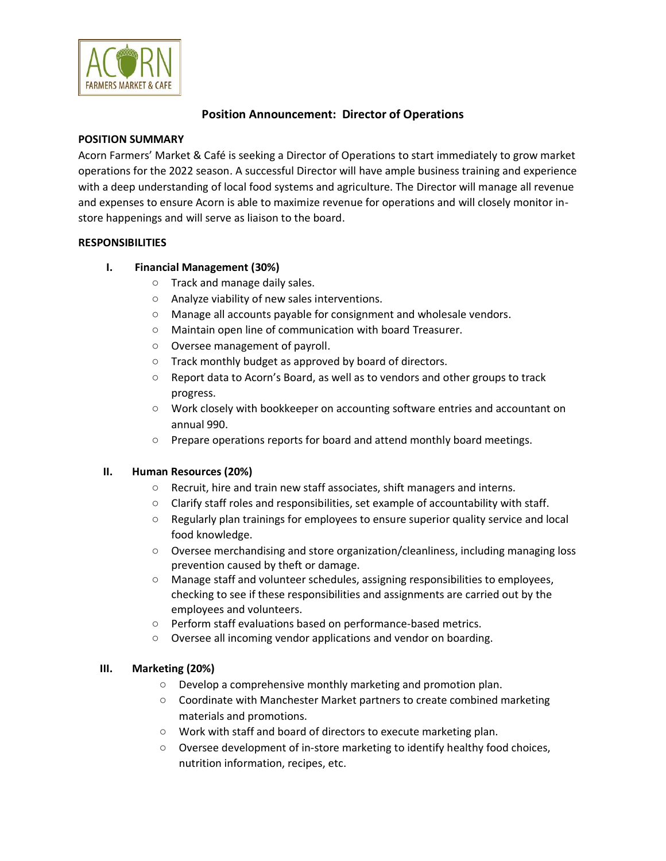

# **Position Announcement: Director of Operations**

### **POSITION SUMMARY**

Acorn Farmers' Market & Café is seeking a Director of Operations to start immediately to grow market operations for the 2022 season. A successful Director will have ample business training and experience with a deep understanding of local food systems and agriculture. The Director will manage all revenue and expenses to ensure Acorn is able to maximize revenue for operations and will closely monitor instore happenings and will serve as liaison to the board.

### **RESPONSIBILITIES**

# **I. Financial Management (30%)**

- Track and manage daily sales.
- Analyze viability of new sales interventions.
- Manage all accounts payable for consignment and wholesale vendors.
- Maintain open line of communication with board Treasurer.
- Oversee management of payroll.
- Track monthly budget as approved by board of directors.
- Report data to Acorn's Board, as well as to vendors and other groups to track progress.
- Work closely with bookkeeper on accounting software entries and accountant on annual 990.
- Prepare operations reports for board and attend monthly board meetings.

### **II. Human Resources (20%)**

- Recruit, hire and train new staff associates, shift managers and interns.
- Clarify staff roles and responsibilities, set example of accountability with staff.
- Regularly plan trainings for employees to ensure superior quality service and local food knowledge.
- Oversee merchandising and store organization/cleanliness, including managing loss prevention caused by theft or damage.
- Manage staff and volunteer schedules, assigning responsibilities to employees, checking to see if these responsibilities and assignments are carried out by the employees and volunteers.
- Perform staff evaluations based on performance-based metrics.
- Oversee all incoming vendor applications and vendor on boarding.

# **III. Marketing (20%)**

- Develop a comprehensive monthly marketing and promotion plan.
- Coordinate with Manchester Market partners to create combined marketing materials and promotions.
- Work with staff and board of directors to execute marketing plan.
- Oversee development of in-store marketing to identify healthy food choices, nutrition information, recipes, etc.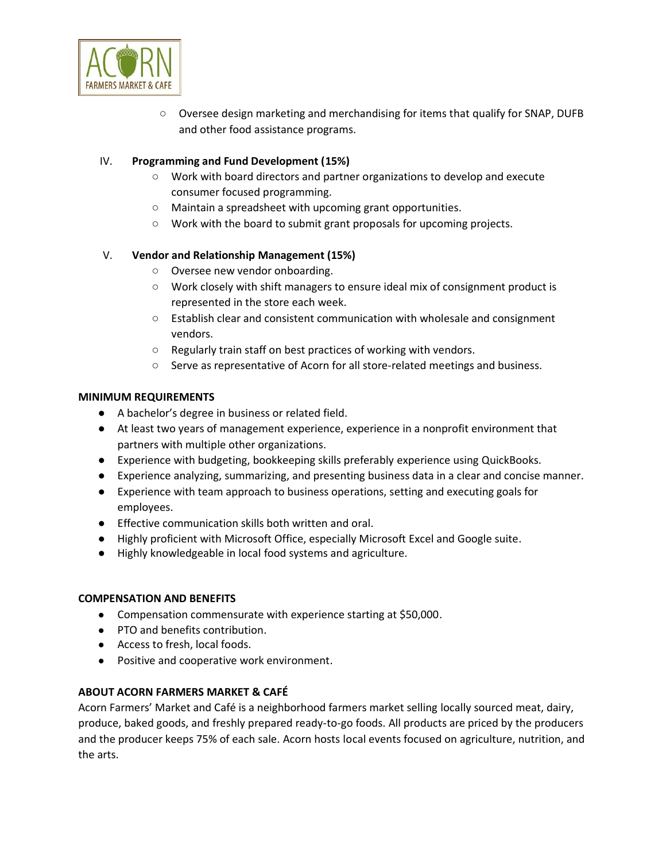

○ Oversee design marketing and merchandising for items that qualify for SNAP, DUFB and other food assistance programs.

## IV. **Programming and Fund Development (15%)**

- Work with board directors and partner organizations to develop and execute consumer focused programming.
- Maintain a spreadsheet with upcoming grant opportunities.
- Work with the board to submit grant proposals for upcoming projects.

### V. **Vendor and Relationship Management (15%)**

- Oversee new vendor onboarding.
- Work closely with shift managers to ensure ideal mix of consignment product is represented in the store each week.
- Establish clear and consistent communication with wholesale and consignment vendors.
- Regularly train staff on best practices of working with vendors.
- Serve as representative of Acorn for all store-related meetings and business.

### **MINIMUM REQUIREMENTS**

- A bachelor's degree in business or related field.
- At least two years of management experience, experience in a nonprofit environment that partners with multiple other organizations.
- Experience with budgeting, bookkeeping skills preferably experience using QuickBooks.
- Experience analyzing, summarizing, and presenting business data in a clear and concise manner.
- Experience with team approach to business operations, setting and executing goals for employees.
- Effective communication skills both written and oral.
- Highly proficient with Microsoft Office, especially Microsoft Excel and Google suite.
- Highly knowledgeable in local food systems and agriculture.

### **COMPENSATION AND BENEFITS**

- Compensation commensurate with experience starting at \$50,000.
- PTO and benefits contribution.
- Access to fresh, local foods.
- Positive and cooperative work environment.

### **ABOUT ACORN FARMERS MARKET & CAFÉ**

Acorn Farmers' Market and Café is a neighborhood farmers market selling locally sourced meat, dairy, produce, baked goods, and freshly prepared ready-to-go foods. All products are priced by the producers and the producer keeps 75% of each sale. Acorn hosts local events focused on agriculture, nutrition, and the arts.